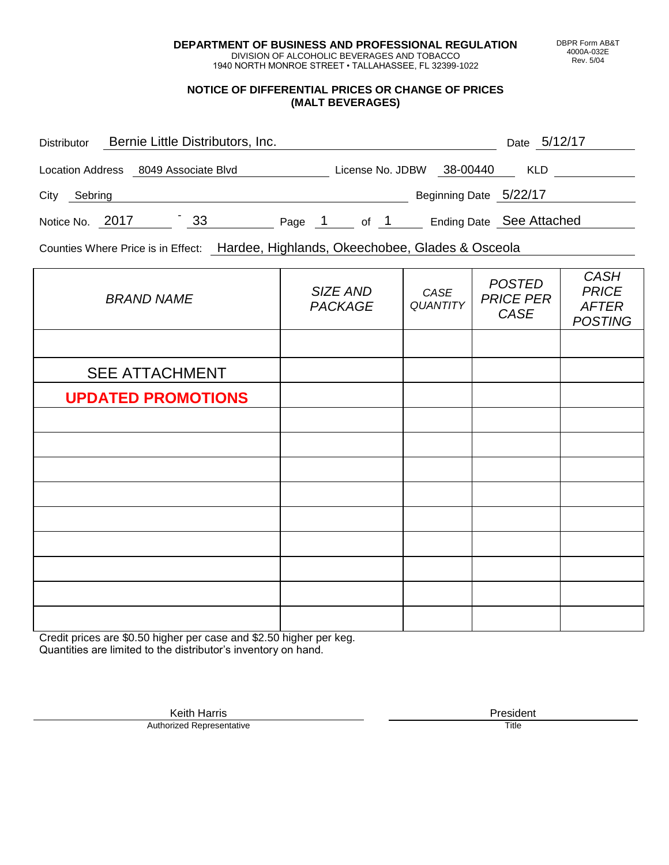**DEPARTMENT OF BUSINESS AND PROFESSIONAL REGULATION** DIVISION OF ALCOHOLIC BEVERAGES AND TOBACCO

1940 NORTH MONROE STREET • TALLAHASSEE, FL 32399-1022

#### **NOTICE OF DIFFERENTIAL PRICES OR CHANGE OF PRICES (MALT BEVERAGES)**

| <b>Distributor</b>      | Bernie Little Distributors, Inc. |        |                  |                        | Date 5/12/17             |
|-------------------------|----------------------------------|--------|------------------|------------------------|--------------------------|
| <b>Location Address</b> | 8049 Associate Blvd              |        | License No. JDBW | 38-00440               | <b>KLD</b>               |
| City<br>Sebring         |                                  |        |                  | Beginning Date 5/22/17 |                          |
| Notice No. 2017         | 33                               | Page 1 | of 1             |                        | Ending Date See Attached |

Counties Where Price is in Effect: Hardee, Highlands, Okeechobee, Glades & Osceola

| <b>BRAND NAME</b>         | SIZE AND<br><b>PACKAGE</b> | CASE<br>QUANTITY | <b>POSTED</b><br><b>PRICE PER</b><br>CASE | <b>CASH</b><br><b>PRICE</b><br><b>AFTER</b><br><b>POSTING</b> |
|---------------------------|----------------------------|------------------|-------------------------------------------|---------------------------------------------------------------|
|                           |                            |                  |                                           |                                                               |
| <b>SEE ATTACHMENT</b>     |                            |                  |                                           |                                                               |
| <b>UPDATED PROMOTIONS</b> |                            |                  |                                           |                                                               |
|                           |                            |                  |                                           |                                                               |
|                           |                            |                  |                                           |                                                               |
|                           |                            |                  |                                           |                                                               |
|                           |                            |                  |                                           |                                                               |
|                           |                            |                  |                                           |                                                               |
|                           |                            |                  |                                           |                                                               |
|                           |                            |                  |                                           |                                                               |
|                           |                            |                  |                                           |                                                               |
|                           |                            |                  |                                           |                                                               |

Credit prices are \$0.50 higher per case and \$2.50 higher per keg. Quantities are limited to the distributor's inventory on hand.

> Keith Harris **President**<br> **President**<br>
> Prized Representative **President** Authorized Representative

DBPR Form AB&T 4000A-032E Rev. 5/04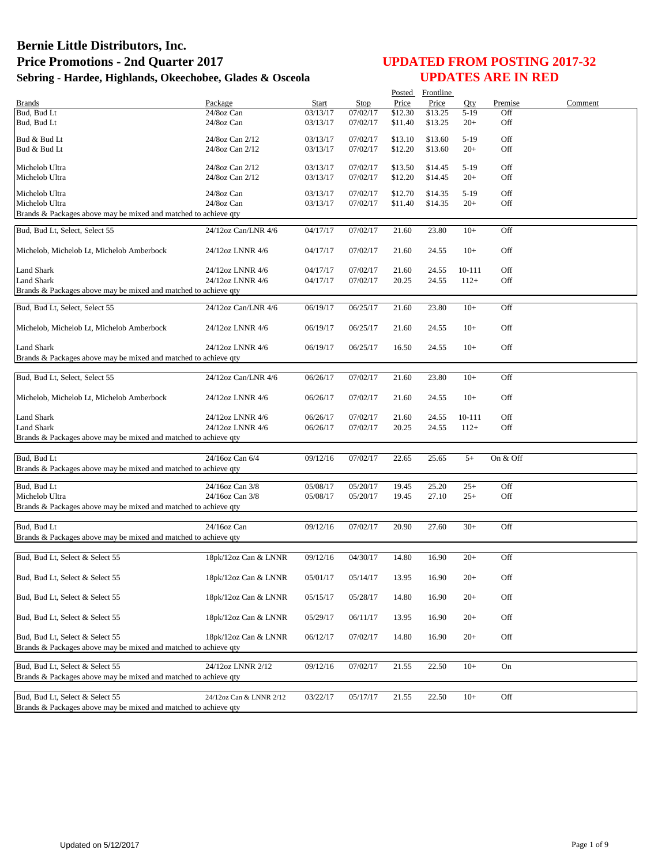|                                                                 |                         |                      |          | Posted  | Frontline      |        |          |         |
|-----------------------------------------------------------------|-------------------------|----------------------|----------|---------|----------------|--------|----------|---------|
| <b>Brands</b>                                                   | Package                 | Start                | Stop     | Price   | Price          | Qty    | Premise  | Comment |
| Bud, Bud Lt                                                     | 24/8oz Can              | 03/13/17             | 07/02/17 | \$12.30 | \$13.25        | $5-19$ | Off      |         |
| Bud, Bud Lt                                                     | 24/8oz Can              | 03/13/17             | 07/02/17 | \$11.40 | \$13.25        | $20+$  | Off      |         |
| Bud & Bud Lt                                                    | 24/8oz Can 2/12         |                      | 07/02/17 |         | \$13.60        |        | Off      |         |
|                                                                 |                         | 03/13/17<br>03/13/17 |          | \$13.10 |                | $5-19$ | Off      |         |
| Bud & Bud Lt                                                    | 24/8oz Can 2/12         |                      | 07/02/17 | \$12.20 | \$13.60        | $20+$  |          |         |
| Michelob Ultra                                                  | 24/8oz Can 2/12         | 03/13/17             | 07/02/17 | \$13.50 | \$14.45        | $5-19$ | Off      |         |
| Michelob Ultra                                                  | 24/8oz Can 2/12         | 03/13/17             | 07/02/17 | \$12.20 | \$14.45        | $20+$  | Off      |         |
|                                                                 |                         |                      |          |         |                |        |          |         |
| Michelob Ultra                                                  | 24/8oz Can              | 03/13/17             | 07/02/17 | \$12.70 | \$14.35        | $5-19$ | Off      |         |
| Michelob Ultra                                                  | 24/8oz Can              | 03/13/17             | 07/02/17 | \$11.40 | \$14.35        | $20+$  | Off      |         |
| Brands & Packages above may be mixed and matched to achieve qty |                         |                      |          |         |                |        |          |         |
| Bud, Bud Lt, Select, Select 55                                  | 24/12oz Can/LNR 4/6     |                      | 07/02/17 |         |                | $10+$  | Off      |         |
|                                                                 |                         | 04/17/17             |          | 21.60   | 23.80          |        |          |         |
|                                                                 | 24/12oz LNNR 4/6        |                      |          |         |                | $10+$  | Off      |         |
| Michelob, Michelob Lt, Michelob Amberbock                       |                         | 04/17/17             | 07/02/17 | 21.60   | 24.55          |        |          |         |
| Land Shark                                                      | 24/12oz LNNR 4/6        | 04/17/17             | 07/02/17 | 21.60   |                | 10-111 | Off      |         |
| Land Shark                                                      | 24/12oz LNNR 4/6        | 04/17/17             | 07/02/17 | 20.25   | 24.55<br>24.55 | $112+$ | Off      |         |
|                                                                 |                         |                      |          |         |                |        |          |         |
| Brands & Packages above may be mixed and matched to achieve qty |                         |                      |          |         |                |        |          |         |
| Bud, Bud Lt, Select, Select 55                                  | 24/12oz Can/LNR 4/6     | 06/19/17             | 06/25/17 | 21.60   | 23.80          | $10+$  | Off      |         |
|                                                                 |                         |                      |          |         |                |        |          |         |
| Michelob, Michelob Lt, Michelob Amberbock                       | 24/12oz LNNR 4/6        | 06/19/17             | 06/25/17 | 21.60   | 24.55          | $10+$  | Off      |         |
|                                                                 |                         |                      |          |         |                |        |          |         |
| <b>Land Shark</b>                                               | 24/12oz LNNR 4/6        | 06/19/17             | 06/25/17 | 16.50   | 24.55          | $10+$  | Off      |         |
| Brands & Packages above may be mixed and matched to achieve qty |                         |                      |          |         |                |        |          |         |
|                                                                 |                         |                      |          |         |                |        |          |         |
| Bud, Bud Lt, Select, Select 55                                  | 24/12oz Can/LNR 4/6     | 06/26/17             | 07/02/17 | 21.60   | 23.80          | $10+$  | Off      |         |
|                                                                 |                         |                      |          |         |                |        |          |         |
| Michelob, Michelob Lt, Michelob Amberbock                       | 24/12oz LNNR 4/6        | 06/26/17             | 07/02/17 | 21.60   | 24.55          | $10+$  | Off      |         |
|                                                                 |                         |                      |          |         |                |        |          |         |
| <b>Land Shark</b>                                               | 24/12oz LNNR 4/6        | 06/26/17             | 07/02/17 | 21.60   | 24.55          | 10-111 | Off      |         |
| Land Shark                                                      | 24/12oz LNNR 4/6        | 06/26/17             | 07/02/17 | 20.25   | 24.55          | $112+$ | Off      |         |
| Brands & Packages above may be mixed and matched to achieve qty |                         |                      |          |         |                |        |          |         |
|                                                                 |                         |                      |          |         |                |        |          |         |
| Bud, Bud Lt                                                     | 24/16oz Can 6/4         | 09/12/16             | 07/02/17 | 22.65   | 25.65          | $5+$   | On & Off |         |
| Brands & Packages above may be mixed and matched to achieve qty |                         |                      |          |         |                |        |          |         |
|                                                                 |                         |                      |          |         |                |        |          |         |
| Bud, Bud Lt                                                     | 24/16oz Can 3/8         | 05/08/17             | 05/20/17 | 19.45   | 25.20          | $25+$  | Off      |         |
| Michelob Ultra                                                  | 24/16oz Can 3/8         | 05/08/17             | 05/20/17 | 19.45   | 27.10          | $25+$  | Off      |         |
| Brands & Packages above may be mixed and matched to achieve qty |                         |                      |          |         |                |        |          |         |
|                                                                 |                         |                      |          |         |                |        |          |         |
| Bud, Bud Lt                                                     | 24/16oz Can             | 09/12/16             | 07/02/17 | 20.90   | 27.60          | $30+$  | Off      |         |
| Brands & Packages above may be mixed and matched to achieve qty |                         |                      |          |         |                |        |          |         |
|                                                                 |                         |                      |          |         |                |        |          |         |
| Bud, Bud Lt, Select & Select 55                                 | 18pk/12oz Can & LNNR    | 09/12/16             | 04/30/17 | 14.80   | 16.90          | $20+$  | Off      |         |
|                                                                 |                         |                      |          |         |                |        |          |         |
| Bud, Bud Lt, Select & Select 55                                 | 18pk/12oz Can & LNNR    | 05/01/17             | 05/14/17 | 13.95   | 16.90          | $20+$  | Off      |         |
|                                                                 |                         |                      |          |         |                |        |          |         |
| Bud, Bud Lt, Select & Select 55                                 | 18pk/12oz Can & LNNR    | 05/15/17             | 05/28/17 | 14.80   | 16.90          | $20+$  | Off      |         |
|                                                                 |                         |                      |          |         |                |        |          |         |
| Bud, Bud Lt, Select & Select 55                                 | 18pk/12oz Can & LNNR    | 05/29/17             | 06/11/17 | 13.95   | 16.90          | $20+$  | Off      |         |
|                                                                 |                         |                      |          |         |                |        |          |         |
| Bud, Bud Lt, Select & Select 55                                 | 18pk/12oz Can & LNNR    | 06/12/17             | 07/02/17 | 14.80   | 16.90          | $20+$  | Off      |         |
| Brands & Packages above may be mixed and matched to achieve qty |                         |                      |          |         |                |        |          |         |
|                                                                 |                         |                      |          |         |                |        |          |         |
| Bud, Bud Lt, Select & Select 55                                 | 24/12oz LNNR 2/12       | 09/12/16             | 07/02/17 | 21.55   | 22.50          | $10+$  | On       |         |
| Brands & Packages above may be mixed and matched to achieve qty |                         |                      |          |         |                |        |          |         |
|                                                                 |                         |                      |          |         |                |        |          |         |
| Bud, Bud Lt, Select & Select 55                                 | 24/12oz Can & LNNR 2/12 | 03/22/17             | 05/17/17 | 21.55   | 22.50          | $10+$  | Off      |         |
| Brands & Packages above may be mixed and matched to achieve qty |                         |                      |          |         |                |        |          |         |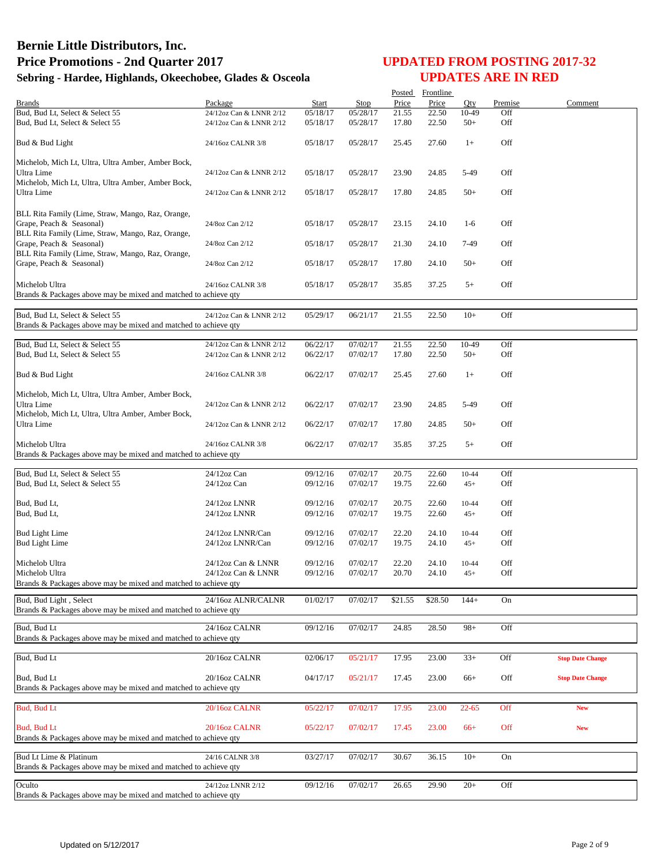|                                                                 |                         |          |          | Posted  | Frontline |           |         |                         |
|-----------------------------------------------------------------|-------------------------|----------|----------|---------|-----------|-----------|---------|-------------------------|
| <b>Brands</b>                                                   | Package                 | Start    | Stop     | Price   | Price     | Oty.      | Premise | Comment                 |
| Bud, Bud Lt, Select & Select 55                                 | 24/12oz Can & LNNR 2/12 | 05/18/17 | 05/28/17 | 21.55   | 22.50     | 10-49     | Off     |                         |
| Bud, Bud Lt, Select & Select 55                                 | 24/12oz Can & LNNR 2/12 | 05/18/17 | 05/28/17 | 17.80   | 22.50     | $50+$     | Off     |                         |
|                                                                 |                         |          |          |         |           |           |         |                         |
| Bud & Bud Light                                                 | 24/16oz CALNR 3/8       | 05/18/17 | 05/28/17 | 25.45   | 27.60     | $1+$      | Off     |                         |
|                                                                 |                         |          |          |         |           |           |         |                         |
| Michelob, Mich Lt, Ultra, Ultra Amber, Amber Bock,              |                         |          |          |         |           |           |         |                         |
| Ultra Lime                                                      | 24/12oz Can & LNNR 2/12 | 05/18/17 | 05/28/17 | 23.90   | 24.85     | 5-49      | Off     |                         |
| Michelob, Mich Lt, Ultra, Ultra Amber, Amber Bock,              |                         |          |          |         |           |           |         |                         |
| Ultra Lime                                                      | 24/12oz Can & LNNR 2/12 | 05/18/17 | 05/28/17 | 17.80   | 24.85     | $50+$     | Off     |                         |
|                                                                 |                         |          |          |         |           |           |         |                         |
| BLL Rita Family (Lime, Straw, Mango, Raz, Orange,               |                         |          |          |         |           |           |         |                         |
| Grape, Peach & Seasonal)                                        | 24/8oz Can 2/12         | 05/18/17 | 05/28/17 | 23.15   | 24.10     | $1-6$     | Off     |                         |
| BLL Rita Family (Lime, Straw, Mango, Raz, Orange,               |                         |          |          |         |           |           |         |                         |
| Grape, Peach & Seasonal)                                        | 24/8oz Can 2/12         | 05/18/17 | 05/28/17 | 21.30   | 24.10     | 7-49      | Off     |                         |
| BLL Rita Family (Lime, Straw, Mango, Raz, Orange,               |                         |          |          |         |           |           |         |                         |
| Grape, Peach & Seasonal)                                        | 24/8oz Can 2/12         | 05/18/17 | 05/28/17 | 17.80   | 24.10     | $50+$     | Off     |                         |
|                                                                 |                         |          |          |         |           |           |         |                         |
|                                                                 |                         |          |          |         |           |           |         |                         |
| Michelob Ultra                                                  | 24/16oz CALNR 3/8       | 05/18/17 | 05/28/17 | 35.85   | 37.25     | $5+$      | Off     |                         |
| Brands & Packages above may be mixed and matched to achieve qty |                         |          |          |         |           |           |         |                         |
|                                                                 |                         |          |          |         |           |           |         |                         |
| Bud, Bud Lt, Select & Select 55                                 | 24/12oz Can & LNNR 2/12 | 05/29/17 | 06/21/17 | 21.55   | 22.50     | $10+$     | Off     |                         |
| Brands & Packages above may be mixed and matched to achieve qty |                         |          |          |         |           |           |         |                         |
|                                                                 |                         |          |          |         |           |           |         |                         |
| Bud, Bud Lt, Select & Select 55                                 | 24/12oz Can & LNNR 2/12 | 06/22/17 | 07/02/17 | 21.55   | 22.50     | 10-49     | Off     |                         |
| Bud, Bud Lt, Select & Select 55                                 | 24/12oz Can & LNNR 2/12 | 06/22/17 | 07/02/17 | 17.80   | 22.50     | $50+$     | Off     |                         |
|                                                                 |                         |          |          |         |           |           |         |                         |
| Bud & Bud Light                                                 | 24/16oz CALNR 3/8       | 06/22/17 | 07/02/17 | 25.45   | 27.60     | $1+$      | Off     |                         |
|                                                                 |                         |          |          |         |           |           |         |                         |
| Michelob, Mich Lt, Ultra, Ultra Amber, Amber Bock,              |                         |          |          |         |           |           |         |                         |
| Ultra Lime                                                      | 24/12oz Can & LNNR 2/12 | 06/22/17 | 07/02/17 | 23.90   | 24.85     | 5-49      | Off     |                         |
| Michelob, Mich Lt, Ultra, Ultra Amber, Amber Bock,              |                         |          |          |         |           |           |         |                         |
|                                                                 |                         |          |          |         |           |           |         |                         |
| Ultra Lime                                                      | 24/12oz Can & LNNR 2/12 | 06/22/17 | 07/02/17 | 17.80   | 24.85     | $50+$     | Off     |                         |
|                                                                 |                         |          |          |         |           |           |         |                         |
| Michelob Ultra                                                  | 24/16oz CALNR 3/8       | 06/22/17 | 07/02/17 | 35.85   | 37.25     | $5+$      | Off     |                         |
| Brands & Packages above may be mixed and matched to achieve qty |                         |          |          |         |           |           |         |                         |
|                                                                 |                         |          |          |         |           |           |         |                         |
| Bud, Bud Lt, Select & Select 55                                 | 24/12oz Can             | 09/12/16 | 07/02/17 | 20.75   | 22.60     | $10 - 44$ | Off     |                         |
| Bud, Bud Lt, Select & Select 55                                 | 24/12oz Can             | 09/12/16 | 07/02/17 | 19.75   | 22.60     | $45+$     | Off     |                         |
|                                                                 |                         |          |          |         |           |           |         |                         |
| Bud, Bud Lt,                                                    | 24/12oz LNNR            | 09/12/16 | 07/02/17 | 20.75   | 22.60     | $10 - 44$ | Off     |                         |
| Bud, Bud Lt,                                                    | 24/12oz LNNR            | 09/12/16 | 07/02/17 | 19.75   | 22.60     | $45+$     | Off     |                         |
|                                                                 |                         |          |          |         |           |           |         |                         |
| <b>Bud Light Lime</b>                                           | 24/12oz LNNR/Can        | 09/12/16 | 07/02/17 | 22.20   | 24.10     | $10 - 44$ | Off     |                         |
| <b>Bud Light Lime</b>                                           | 24/12oz LNNR/Can        | 09/12/16 | 07/02/17 | 19.75   | 24.10     | $45+$     | Off     |                         |
|                                                                 |                         |          |          |         |           |           |         |                         |
| Michelob Ultra                                                  | 24/12oz Can & LNNR      | 09/12/16 | 07/02/17 | 22.20   | 24.10     | 10-44     | Off     |                         |
| Michelob Ultra                                                  | 24/12oz Can & LNNR      | 09/12/16 | 07/02/17 | 20.70   | 24.10     | $45+$     | Off     |                         |
| Brands & Packages above may be mixed and matched to achieve qty |                         |          |          |         |           |           |         |                         |
|                                                                 |                         |          |          |         |           |           |         |                         |
| Bud, Bud Light, Select                                          | 24/16oz ALNR/CALNR      | 01/02/17 | 07/02/17 | \$21.55 | \$28.50   | $144+$    | On      |                         |
| Brands & Packages above may be mixed and matched to achieve qty |                         |          |          |         |           |           |         |                         |
|                                                                 |                         |          |          |         |           |           |         |                         |
| Bud, Bud Lt                                                     | 24/16oz CALNR           | 09/12/16 | 07/02/17 | 24.85   | 28.50     | $98+$     | Off     |                         |
| Brands & Packages above may be mixed and matched to achieve qty |                         |          |          |         |           |           |         |                         |
|                                                                 |                         |          |          |         |           |           |         |                         |
| Bud, Bud Lt                                                     | 20/16oz CALNR           | 02/06/17 | 05/21/17 | 17.95   | 23.00     | $33+$     | Off     | <b>Stop Date Change</b> |
|                                                                 |                         |          |          |         |           |           |         |                         |
| Bud, Bud Lt                                                     | 20/16oz CALNR           | 04/17/17 | 05/21/17 | 17.45   | 23.00     | $66+$     | Off     | <b>Stop Date Change</b> |
| Brands & Packages above may be mixed and matched to achieve qtv |                         |          |          |         |           |           |         |                         |
|                                                                 |                         |          |          |         |           |           |         |                         |
| <b>Bud, Bud Lt</b>                                              | 20/16oz CALNR           | 05/22/17 | 07/02/17 | 17.95   | 23.00     | $22 - 65$ | Off     | <b>New</b>              |
|                                                                 |                         |          |          |         |           |           |         |                         |
| <b>Bud, Bud Lt</b>                                              | 20/16oz CALNR           |          |          |         |           |           |         |                         |
|                                                                 |                         | 05/22/17 | 07/02/17 | 17.45   | 23.00     | $66+$     | Off     | <b>New</b>              |
| Brands & Packages above may be mixed and matched to achieve qty |                         |          |          |         |           |           |         |                         |
|                                                                 |                         |          |          |         |           |           |         |                         |
| Bud Lt Lime & Platinum                                          | 24/16 CALNR 3/8         | 03/27/17 | 07/02/17 | 30.67   | 36.15     | $10+$     | On      |                         |
| Brands & Packages above may be mixed and matched to achieve qty |                         |          |          |         |           |           |         |                         |
| Oculto                                                          |                         |          |          |         |           |           | Off     |                         |
|                                                                 | 24/12oz LNNR 2/12       | 09/12/16 | 07/02/17 | 26.65   | 29.90     | $20+$     |         |                         |
| Brands & Packages above may be mixed and matched to achieve qty |                         |          |          |         |           |           |         |                         |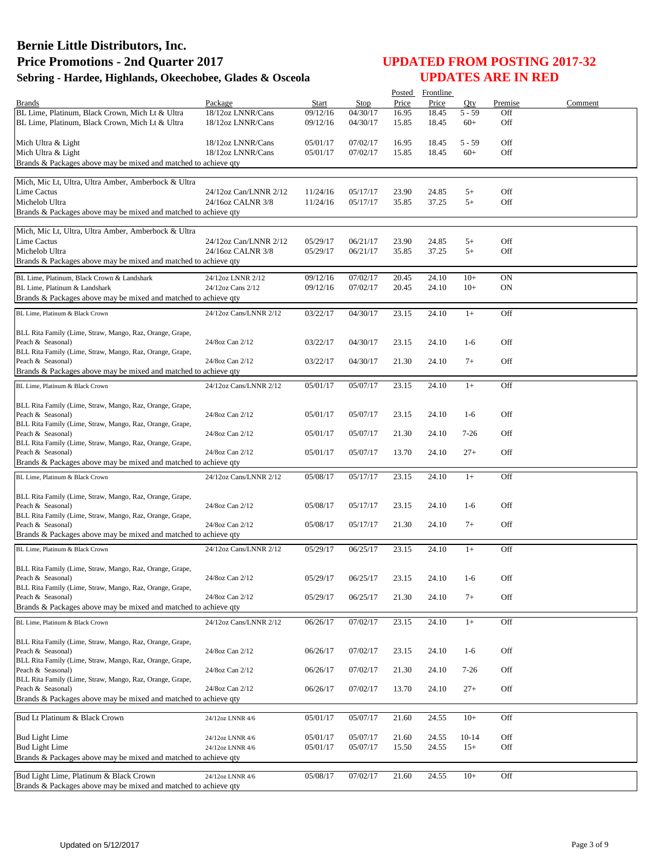|                                                                                                           |                                        |                      |                      | Posted         | Frontline      |                   |            |         |
|-----------------------------------------------------------------------------------------------------------|----------------------------------------|----------------------|----------------------|----------------|----------------|-------------------|------------|---------|
| <b>Brands</b>                                                                                             | Package                                | Start                | Stop                 | Price          | Price          | Oty               | Premise    | Comment |
| BL Lime, Platinum, Black Crown, Mich Lt & Ultra<br>BL Lime, Platinum, Black Crown, Mich Lt & Ultra        | 18/12oz LNNR/Cans<br>18/12oz LNNR/Cans | 09/12/16<br>09/12/16 | 04/30/17<br>04/30/17 | 16.95<br>15.85 | 18.45<br>18.45 | $5 - 59$<br>$60+$ | Off<br>Off |         |
|                                                                                                           |                                        |                      |                      |                |                |                   |            |         |
| Mich Ultra & Light                                                                                        | 18/12oz LNNR/Cans                      | 05/01/17             | 07/02/17             | 16.95          | 18.45          | $5 - 59$          | Off        |         |
| Mich Ultra & Light                                                                                        | 18/12oz LNNR/Cans                      | 05/01/17             | 07/02/17             | 15.85          | 18.45          | $60+$             | Off        |         |
| Brands & Packages above may be mixed and matched to achieve qty                                           |                                        |                      |                      |                |                |                   |            |         |
|                                                                                                           |                                        |                      |                      |                |                |                   |            |         |
| Mich, Mic Lt, Ultra, Ultra Amber, Amberbock & Ultra<br>Lime Cactus                                        | 24/12oz Can/LNNR 2/12                  |                      | 05/17/17             | 23.90          |                | $5+$              | Off        |         |
| Michelob Ultra                                                                                            | 24/16oz CALNR 3/8                      | 11/24/16<br>11/24/16 | 05/17/17             | 35.85          | 24.85<br>37.25 | $5+$              | Off        |         |
| Brands & Packages above may be mixed and matched to achieve qty                                           |                                        |                      |                      |                |                |                   |            |         |
|                                                                                                           |                                        |                      |                      |                |                |                   |            |         |
| Mich, Mic Lt, Ultra, Ultra Amber, Amberbock & Ultra                                                       |                                        |                      |                      |                |                |                   |            |         |
| Lime Cactus                                                                                               | 24/12oz Can/LNNR 2/12                  | 05/29/17             | 06/21/17             | 23.90          | 24.85          | $5+$              | Off        |         |
| Michelob Ultra                                                                                            | 24/16oz CALNR 3/8                      | 05/29/17             | 06/21/17             | 35.85          | 37.25          | $5+$              | Off        |         |
| Brands & Packages above may be mixed and matched to achieve qty                                           |                                        |                      |                      |                |                |                   |            |         |
| BL Lime, Platinum, Black Crown & Landshark                                                                | 24/12oz LNNR 2/12                      | 09/12/16             | 07/02/17             | 20.45          | 24.10          | $10+$             | <b>ON</b>  |         |
| BL Lime, Platinum & Landshark                                                                             | 24/12oz Cans 2/12                      | 09/12/16             | 07/02/17             | 20.45          | 24.10          | $10+$             | <b>ON</b>  |         |
| Brands & Packages above may be mixed and matched to achieve qty                                           |                                        |                      |                      |                |                |                   |            |         |
| BL Lime, Platinum & Black Crown                                                                           | 24/12oz Cans/LNNR 2/12                 | 03/22/17             | 04/30/17             | 23.15          | 24.10          | $1+$              | Off        |         |
|                                                                                                           |                                        |                      |                      |                |                |                   |            |         |
| BLL Rita Family (Lime, Straw, Mango, Raz, Orange, Grape,<br>Peach & Seasonal)                             | 24/8oz Can 2/12                        | 03/22/17             | 04/30/17             | 23.15          | 24.10          | $1-6$             | Off        |         |
| BLL Rita Family (Lime, Straw, Mango, Raz, Orange, Grape,                                                  |                                        |                      |                      |                |                |                   |            |         |
| Peach & Seasonal)                                                                                         | 24/8oz Can 2/12                        | 03/22/17             | 04/30/17             | 21.30          | 24.10          | $7+$              | Off        |         |
| Brands & Packages above may be mixed and matched to achieve qty                                           |                                        |                      |                      |                |                |                   |            |         |
| BL Lime, Platinum & Black Crown                                                                           | 24/12oz Cans/LNNR 2/12                 | 05/01/17             | 05/07/17             | 23.15          | 24.10          | $1+$              | Off        |         |
|                                                                                                           |                                        |                      |                      |                |                |                   |            |         |
| BLL Rita Family (Lime, Straw, Mango, Raz, Orange, Grape,                                                  |                                        |                      |                      |                |                |                   |            |         |
| Peach & Seasonal)                                                                                         | 24/8oz Can 2/12                        | 05/01/17             | 05/07/17             | 23.15          | 24.10          | $1-6$             | Off        |         |
| BLL Rita Family (Lime, Straw, Mango, Raz, Orange, Grape,<br>Peach & Seasonal)                             | 24/8oz Can 2/12                        | 05/01/17             | 05/07/17             | 21.30          | 24.10          | $7 - 26$          | Off        |         |
| BLL Rita Family (Lime, Straw, Mango, Raz, Orange, Grape,                                                  |                                        |                      |                      |                |                |                   |            |         |
| Peach & Seasonal)                                                                                         | 24/8oz Can 2/12                        | 05/01/17             | 05/07/17             | 13.70          | 24.10          | $27+$             | Off        |         |
| Brands & Packages above may be mixed and matched to achieve qty                                           |                                        |                      |                      |                |                |                   |            |         |
| BL Lime, Platinum & Black Crown                                                                           | 24/12oz Cans/LNNR 2/12                 | 05/08/17             | 05/17/17             | 23.15          | 24.10          | $1+$              | Off        |         |
|                                                                                                           |                                        |                      |                      |                |                |                   |            |         |
| BLL Rita Family (Lime, Straw, Mango, Raz, Orange, Grape,<br>Peach & Seasonal)                             | 24/8oz Can 2/12                        | 05/08/17             | 05/17/17             | 23.15          | 24.10          | $1-6$             | Off        |         |
| BLL Rita Family (Lime, Straw, Mango, Raz, Orange, Grape,                                                  |                                        |                      |                      |                |                |                   |            |         |
| Peach & Seasonal)                                                                                         | 24/8oz Can 2/12                        | 05/08/17             | 05/17/17             | 21.30          | 24.10          | $7+$              | Off        |         |
| Brands & Packages above may be mixed and matched to achieve qty                                           |                                        |                      |                      |                |                |                   |            |         |
| BL Lime, Platinum & Black Crown                                                                           | 24/12oz Cans/LNNR 2/12                 | 05/29/17             | 06/25/17             | 23.15          | 24.10          | $1+$              | Off        |         |
|                                                                                                           |                                        |                      |                      |                |                |                   |            |         |
| BLL Rita Family (Lime, Straw, Mango, Raz, Orange, Grape,                                                  |                                        |                      |                      |                |                |                   |            |         |
| Peach & Seasonal)                                                                                         | 24/8oz Can 2/12                        | 05/29/17             | 06/25/17             | 23.15          | 24.10          | $1-6$             | Off        |         |
| BLL Rita Family (Lime, Straw, Mango, Raz, Orange, Grape,<br>Peach & Seasonal)                             | 24/8oz Can 2/12                        | 05/29/17             | 06/25/17             | 21.30          | 24.10          | $7+$              | Off        |         |
| Brands & Packages above may be mixed and matched to achieve gty                                           |                                        |                      |                      |                |                |                   |            |         |
| BL Lime, Platinum & Black Crown                                                                           | 24/12oz Cans/LNNR 2/12                 | 06/26/17             | 07/02/17             | 23.15          | 24.10          | $1+$              | Off        |         |
|                                                                                                           |                                        |                      |                      |                |                |                   |            |         |
| BLL Rita Family (Lime, Straw, Mango, Raz, Orange, Grape,                                                  |                                        |                      |                      |                |                |                   |            |         |
| Peach & Seasonal)                                                                                         | 24/8oz Can 2/12                        | 06/26/17             | 07/02/17             | 23.15          | 24.10          | $1-6$             | Off        |         |
| BLL Rita Family (Lime, Straw, Mango, Raz, Orange, Grape,                                                  |                                        |                      |                      |                |                |                   |            |         |
| Peach & Seasonal)<br>BLL Rita Family (Lime, Straw, Mango, Raz, Orange, Grape,                             | 24/8oz Can 2/12                        | 06/26/17             | 07/02/17             | 21.30          | 24.10          | 7-26              | Off        |         |
| Peach & Seasonal)                                                                                         | 24/8oz Can 2/12                        | 06/26/17             | 07/02/17             | 13.70          | 24.10          | $27+$             | Off        |         |
| Brands & Packages above may be mixed and matched to achieve gty                                           |                                        |                      |                      |                |                |                   |            |         |
|                                                                                                           |                                        |                      |                      |                |                |                   |            |         |
| Bud Lt Platinum & Black Crown                                                                             | 24/12oz LNNR 4/6                       | 05/01/17             | 05/07/17             | 21.60          | 24.55          | $10+$             | Off        |         |
| <b>Bud Light Lime</b>                                                                                     | 24/12oz LNNR 4/6                       | 05/01/17             | 05/07/17             | 21.60          | 24.55          | $10-14$           | Off        |         |
| <b>Bud Light Lime</b>                                                                                     | 24/12oz LNNR 4/6                       | 05/01/17             | 05/07/17             | 15.50          | 24.55          | $15+$             | Off        |         |
| Brands & Packages above may be mixed and matched to achieve qty                                           |                                        |                      |                      |                |                |                   |            |         |
|                                                                                                           |                                        |                      |                      |                |                |                   |            |         |
| Bud Light Lime, Platinum & Black Crown<br>Brands & Packages above may be mixed and matched to achieve qty | 24/12oz LNNR 4/6                       | 05/08/17             | 07/02/17             | 21.60          | 24.55          | $10+$             | Off        |         |
|                                                                                                           |                                        |                      |                      |                |                |                   |            |         |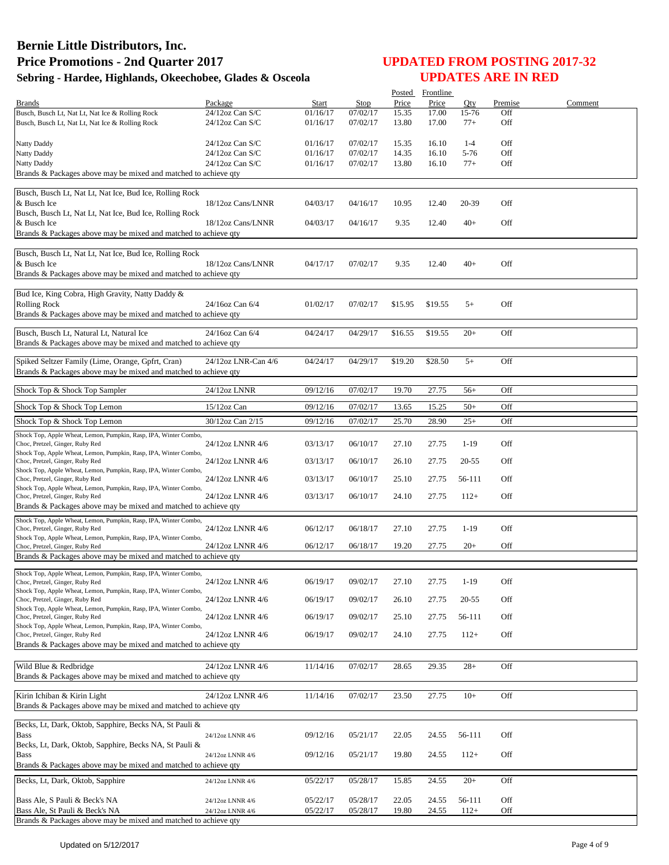|                                                                                                     |                     |          |          | Posted  | Frontline |           |         |         |
|-----------------------------------------------------------------------------------------------------|---------------------|----------|----------|---------|-----------|-----------|---------|---------|
| <b>Brands</b>                                                                                       | Package             | Start    | Stop     | Price   | Price     | Oty       | Premise | Comment |
| Busch, Busch Lt, Nat Lt, Nat Ice & Rolling Rock                                                     | $24/12$ oz Can S/C  | 01/16/17 | 07/02/17 | 15.35   | 17.00     | 15-76     | Off     |         |
| Busch, Busch Lt, Nat Lt, Nat Ice & Rolling Rock                                                     | $24/12$ oz Can S/C  | 01/16/17 | 07/02/17 | 13.80   | 17.00     | $77+$     | Off     |         |
|                                                                                                     |                     |          |          |         |           |           |         |         |
| Natty Daddy                                                                                         | $24/12$ oz Can S/C  | 01/16/17 | 07/02/17 | 15.35   | 16.10     | $1 - 4$   | Off     |         |
| Natty Daddy                                                                                         | 24/12oz Can S/C     | 01/16/17 | 07/02/17 | 14.35   | 16.10     | $5-76$    | Off     |         |
| Natty Daddy                                                                                         | 24/12oz Can S/C     | 01/16/17 | 07/02/17 | 13.80   | 16.10     | $77+$     | Off     |         |
| Brands & Packages above may be mixed and matched to achieve qty                                     |                     |          |          |         |           |           |         |         |
|                                                                                                     |                     |          |          |         |           |           |         |         |
| Busch, Busch Lt, Nat Lt, Nat Ice, Bud Ice, Rolling Rock                                             |                     |          |          |         |           |           |         |         |
| & Busch Ice                                                                                         | 18/12oz Cans/LNNR   | 04/03/17 | 04/16/17 | 10.95   | 12.40     | 20-39     | Off     |         |
| Busch, Busch Lt, Nat Lt, Nat Ice, Bud Ice, Rolling Rock<br>& Busch Ice                              | 18/12oz Cans/LNNR   |          |          |         | 12.40     | $40+$     | Off     |         |
| Brands & Packages above may be mixed and matched to achieve qty                                     |                     | 04/03/17 | 04/16/17 | 9.35    |           |           |         |         |
|                                                                                                     |                     |          |          |         |           |           |         |         |
| Busch, Busch Lt, Nat Lt, Nat Ice, Bud Ice, Rolling Rock                                             |                     |          |          |         |           |           |         |         |
| & Busch Ice                                                                                         | 18/12oz Cans/LNNR   | 04/17/17 | 07/02/17 | 9.35    | 12.40     | $40+$     | Off     |         |
| Brands & Packages above may be mixed and matched to achieve qty                                     |                     |          |          |         |           |           |         |         |
|                                                                                                     |                     |          |          |         |           |           |         |         |
| Bud Ice, King Cobra, High Gravity, Natty Daddy &                                                    |                     |          |          |         |           |           |         |         |
| <b>Rolling Rock</b>                                                                                 | 24/16oz Can 6/4     | 01/02/17 | 07/02/17 | \$15.95 | \$19.55   | $5+$      | Off     |         |
| Brands & Packages above may be mixed and matched to achieve qty                                     |                     |          |          |         |           |           |         |         |
|                                                                                                     |                     |          |          |         |           |           |         |         |
| Busch, Busch Lt, Natural Lt, Natural Ice                                                            | 24/16oz Can 6/4     | 04/24/17 | 04/29/17 | \$16.55 | \$19.55   | $20+$     | Off     |         |
| Brands & Packages above may be mixed and matched to achieve qty                                     |                     |          |          |         |           |           |         |         |
|                                                                                                     |                     |          |          |         |           |           |         |         |
| Spiked Seltzer Family (Lime, Orange, Gpfrt, Cran)                                                   | 24/12oz LNR-Can 4/6 | 04/24/17 | 04/29/17 | \$19.20 | \$28.50   | $5+$      | Off     |         |
| Brands & Packages above may be mixed and matched to achieve qty                                     |                     |          |          |         |           |           |         |         |
|                                                                                                     |                     |          |          |         |           |           |         |         |
| Shock Top & Shock Top Sampler                                                                       | 24/12oz LNNR        | 09/12/16 | 07/02/17 | 19.70   | 27.75     | $56+$     | Off     |         |
| Shock Top & Shock Top Lemon                                                                         | $15/12$ oz Can      | 09/12/16 | 07/02/17 | 13.65   | 15.25     | $50+$     | Off     |         |
|                                                                                                     |                     |          |          |         |           |           | Off     |         |
| Shock Top & Shock Top Lemon                                                                         | 30/12oz Can 2/15    | 09/12/16 | 07/02/17 | 25.70   | 28.90     | $25+$     |         |         |
| Shock Top, Apple Wheat, Lemon, Pumpkin, Rasp, IPA, Winter Combo,                                    |                     |          |          |         |           |           |         |         |
| Choc, Pretzel, Ginger, Ruby Red                                                                     | 24/12oz LNNR 4/6    | 03/13/17 | 06/10/17 | 27.10   | 27.75     | $1-19$    | Off     |         |
| Shock Top, Apple Wheat, Lemon, Pumpkin, Rasp, IPA, Winter Combo,<br>Choc, Pretzel, Ginger, Ruby Red | 24/12oz LNNR 4/6    | 03/13/17 | 06/10/17 | 26.10   | 27.75     | $20 - 55$ | Off     |         |
| Shock Top, Apple Wheat, Lemon, Pumpkin, Rasp, IPA, Winter Combo,                                    |                     |          |          |         |           |           |         |         |
| Choc, Pretzel, Ginger, Ruby Red                                                                     | 24/12oz LNNR 4/6    | 03/13/17 | 06/10/17 | 25.10   | 27.75     | 56-111    | Off     |         |
| Shock Top, Apple Wheat, Lemon, Pumpkin, Rasp, IPA, Winter Combo,                                    |                     |          |          |         |           |           |         |         |
| Choc, Pretzel, Ginger, Ruby Red                                                                     | 24/12oz LNNR 4/6    | 03/13/17 | 06/10/17 | 24.10   | 27.75     | $112+$    | Off     |         |
| Brands & Packages above may be mixed and matched to achieve qty                                     |                     |          |          |         |           |           |         |         |
| Shock Top, Apple Wheat, Lemon, Pumpkin, Rasp, IPA, Winter Combo,                                    |                     |          |          |         |           |           |         |         |
| Choc, Pretzel, Ginger, Ruby Red                                                                     | 24/12oz LNNR 4/6    | 06/12/17 | 06/18/17 | 27.10   | 27.75     | $1-19$    | Off     |         |
| Shock Top, Apple Wheat, Lemon, Pumpkin, Rasp, IPA, Winter Combo,                                    |                     |          |          |         |           |           |         |         |
| Choc, Pretzel, Ginger, Ruby Red                                                                     | 24/12oz LNNR 4/6    | 06/12/17 | 06/18/17 | 19.20   | 27.75     | $20+$     | Off     |         |
| Brands & Packages above may be mixed and matched to achieve qty                                     |                     |          |          |         |           |           |         |         |
| Shock Top, Apple Wheat, Lemon, Pumpkin, Rasp, IPA, Winter Combo,                                    |                     |          |          |         |           |           |         |         |
| Choc, Pretzel, Ginger, Ruby Red                                                                     | 24/12oz LNNR 4/6    | 06/19/17 | 09/02/17 | 27.10   | 27.75     | 1-19      | Off     |         |
| Shock Top, Apple Wheat, Lemon, Pumpkin, Rasp, IPA, Winter Combo,                                    |                     |          |          |         |           |           |         |         |
| Choc, Pretzel, Ginger, Ruby Red                                                                     | 24/12oz LNNR 4/6    | 06/19/17 | 09/02/17 | 26.10   | 27.75     | $20 - 55$ | Off     |         |
| Shock Top, Apple Wheat, Lemon, Pumpkin, Rasp, IPA, Winter Combo,<br>Choc, Pretzel, Ginger, Ruby Red | 24/12oz LNNR 4/6    | 06/19/17 | 09/02/17 | 25.10   | 27.75     | 56-111    | Off     |         |
| Shock Top, Apple Wheat, Lemon, Pumpkin, Rasp, IPA, Winter Combo,                                    |                     |          |          |         |           |           |         |         |
| Choc, Pretzel, Ginger, Ruby Red                                                                     | 24/12oz LNNR 4/6    | 06/19/17 | 09/02/17 | 24.10   | 27.75     | $112+$    | Off     |         |
| Brands & Packages above may be mixed and matched to achieve gty                                     |                     |          |          |         |           |           |         |         |
|                                                                                                     |                     |          |          |         |           |           |         |         |
| Wild Blue & Redbridge                                                                               | 24/12oz LNNR 4/6    | 11/14/16 | 07/02/17 | 28.65   | 29.35     | $28+$     | Off     |         |
| Brands & Packages above may be mixed and matched to achieve qty                                     |                     |          |          |         |           |           |         |         |
|                                                                                                     |                     |          |          |         |           |           |         |         |
| Kirin Ichiban & Kirin Light                                                                         | 24/12oz LNNR 4/6    | 11/14/16 | 07/02/17 | 23.50   | 27.75     | $10+$     | Off     |         |
| Brands & Packages above may be mixed and matched to achieve qty                                     |                     |          |          |         |           |           |         |         |
|                                                                                                     |                     |          |          |         |           |           |         |         |
| Becks, Lt, Dark, Oktob, Sapphire, Becks NA, St Pauli &                                              |                     |          |          |         |           |           |         |         |
| <b>Bass</b>                                                                                         | 24/12oz LNNR 4/6    | 09/12/16 | 05/21/17 | 22.05   | 24.55     | 56-111    | Off     |         |
| Becks, Lt, Dark, Oktob, Sapphire, Becks NA, St Pauli &                                              |                     |          |          |         |           |           |         |         |
| <b>Bass</b>                                                                                         | 24/12oz LNNR 4/6    | 09/12/16 | 05/21/17 | 19.80   | 24.55     | $112+$    | Off     |         |
| Brands & Packages above may be mixed and matched to achieve qty                                     |                     |          |          |         |           |           |         |         |
| Becks, Lt, Dark, Oktob, Sapphire                                                                    | 24/12oz LNNR 4/6    | 05/22/17 | 05/28/17 | 15.85   | 24.55     | $20+$     | Off     |         |
|                                                                                                     |                     |          |          |         |           |           |         |         |
| Bass Ale, S Pauli & Beck's NA                                                                       | 24/12oz LNNR 4/6    | 05/22/17 | 05/28/17 | 22.05   | 24.55     | 56-111    | Off     |         |
| Bass Ale, St Pauli & Beck's NA                                                                      | 24/12oz LNNR 4/6    | 05/22/17 | 05/28/17 | 19.80   | 24.55     | $112+$    | Off     |         |
| Brands & Packages above may be mixed and matched to achieve qty                                     |                     |          |          |         |           |           |         |         |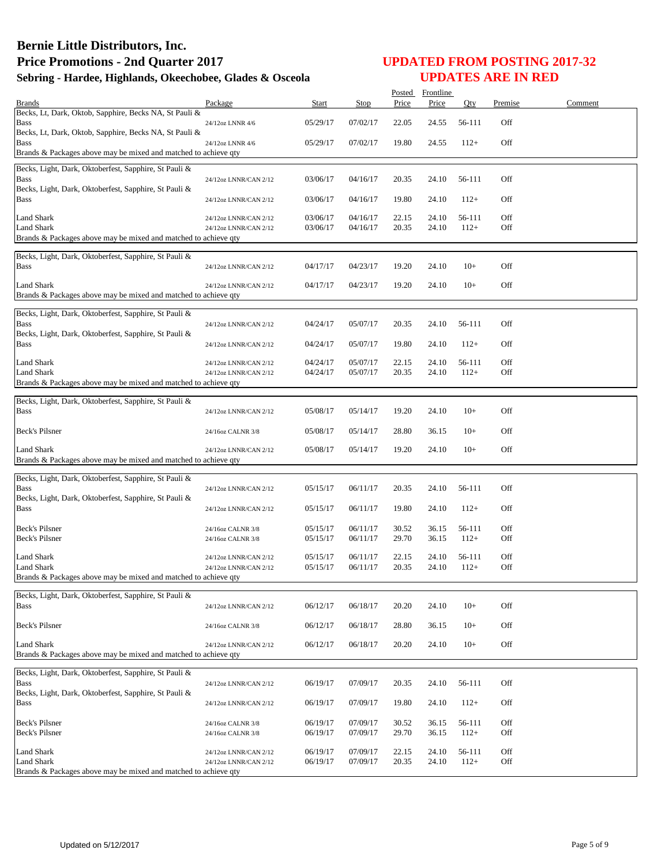|                                                                                      |                                                |                      |                      |                | Posted Frontline |                  |            |         |
|--------------------------------------------------------------------------------------|------------------------------------------------|----------------------|----------------------|----------------|------------------|------------------|------------|---------|
| <b>Brands</b><br>Becks, Lt, Dark, Oktob, Sapphire, Becks NA, St Pauli &              | Package                                        | <b>Start</b>         | Stop                 | Price          | Price            | Qty              | Premise    | Comment |
| Bass                                                                                 | 24/12oz LNNR 4/6                               | 05/29/17             | 07/02/17             | 22.05          | 24.55            | 56-111           | Off        |         |
| Becks, Lt, Dark, Oktob, Sapphire, Becks NA, St Pauli &<br>Bass                       | 24/12oz LNNR 4/6                               | 05/29/17             | 07/02/17             | 19.80          | 24.55            | $112+$           | Off        |         |
| Brands & Packages above may be mixed and matched to achieve qty                      |                                                |                      |                      |                |                  |                  |            |         |
| Becks, Light, Dark, Oktoberfest, Sapphire, St Pauli &<br>Bass                        | 24/12oz LNNR/CAN 2/12                          | 03/06/17             | 04/16/17             | 20.35          | 24.10            | 56-111           | Off        |         |
| Becks, Light, Dark, Oktoberfest, Sapphire, St Pauli &<br>Bass                        | 24/12oz LNNR/CAN 2/12                          | 03/06/17             | 04/16/17             | 19.80          | 24.10            | $112+$           | Off        |         |
| <b>Land Shark</b>                                                                    | 24/12oz LNNR/CAN 2/12                          | 03/06/17             | 04/16/17             | 22.15          | 24.10            | 56-111           | Off        |         |
| <b>Land Shark</b>                                                                    | 24/12oz LNNR/CAN 2/12                          | 03/06/17             | 04/16/17             | 20.35          | 24.10            | $112+$           | Off        |         |
| Brands & Packages above may be mixed and matched to achieve qty                      |                                                |                      |                      |                |                  |                  |            |         |
| Becks, Light, Dark, Oktoberfest, Sapphire, St Pauli &<br><b>Bass</b>                 | 24/12oz LNNR/CAN 2/12                          | 04/17/17             | 04/23/17             | 19.20          | 24.10            | $10+$            | Off        |         |
| Land Shark                                                                           | 24/12oz LNNR/CAN 2/12                          | 04/17/17             | 04/23/17             | 19.20          | 24.10            | $10+$            | Off        |         |
| Brands & Packages above may be mixed and matched to achieve qty                      |                                                |                      |                      |                |                  |                  |            |         |
| Becks, Light, Dark, Oktoberfest, Sapphire, St Pauli &                                |                                                |                      |                      |                |                  |                  |            |         |
| <b>Bass</b><br>Becks, Light, Dark, Oktoberfest, Sapphire, St Pauli &                 | 24/12oz LNNR/CAN 2/12                          | 04/24/17             | 05/07/17             | 20.35          | 24.10            | 56-111           | Off        |         |
| Bass                                                                                 | 24/12oz LNNR/CAN 2/12                          | 04/24/17             | 05/07/17             | 19.80          | 24.10            | $112+$           | Off        |         |
| <b>Land Shark</b>                                                                    | 24/12oz LNNR/CAN 2/12                          | 04/24/17             | 05/07/17             | 22.15          | 24.10            | 56-111           | Off        |         |
| Land Shark<br>Brands & Packages above may be mixed and matched to achieve qty        | 24/12oz LNNR/CAN 2/12                          | 04/24/17             | 05/07/17             | 20.35          | 24.10            | $112+$           | Off        |         |
|                                                                                      |                                                |                      |                      |                |                  |                  |            |         |
| Becks, Light, Dark, Oktoberfest, Sapphire, St Pauli &<br><b>Bass</b>                 | 24/12oz LNNR/CAN 2/12                          | 05/08/17             | 05/14/17             | 19.20          | 24.10            | $10+$            | Off        |         |
| Beck's Pilsner                                                                       | 24/16oz CALNR 3/8                              | 05/08/17             | 05/14/17             | 28.80          | 36.15            | $10+$            | Off        |         |
| Land Shark<br>Brands & Packages above may be mixed and matched to achieve qty        | 24/12oz LNNR/CAN 2/12                          | 05/08/17             | 05/14/17             | 19.20          | 24.10            | $10+$            | Off        |         |
|                                                                                      |                                                |                      |                      |                |                  |                  |            |         |
| Becks, Light, Dark, Oktoberfest, Sapphire, St Pauli &<br><b>Bass</b>                 | 24/12oz LNNR/CAN 2/12                          | 05/15/17             | 06/11/17             | 20.35          | 24.10            | 56-111           | Off        |         |
| Becks, Light, Dark, Oktoberfest, Sapphire, St Pauli &<br><b>Bass</b>                 | 24/12oz LNNR/CAN 2/12                          | 05/15/17             | 06/11/17             | 19.80          | 24.10            | $112+$           | Off        |         |
| Beck's Pilsner                                                                       | 24/16oz CALNR 3/8                              | 05/15/17             | 06/11/17             | 30.52          | 36.15            | 56-111           | Off        |         |
| <b>Beck's Pilsner</b>                                                                | 24/16oz CALNR 3/8                              | 05/15/17             | 06/11/17             | 29.70          | 36.15            | $112+$           | Off        |         |
| Land Shark<br>Land Shark                                                             | 24/12oz LNNR/CAN 2/12<br>24/12oz LNNR/CAN 2/12 | 05/15/17<br>05/15/17 | 06/11/17<br>06/11/17 | 22.15<br>20.35 | 24.10<br>24.10   | 56-111<br>$112+$ | Off<br>Off |         |
| Brands & Packages above may be mixed and matched to achieve qty                      |                                                |                      |                      |                |                  |                  |            |         |
|                                                                                      |                                                |                      |                      |                |                  |                  |            |         |
| Becks, Light, Dark, Oktoberfest, Sapphire, St Pauli &<br><b>Bass</b>                 | 24/12oz LNNR/CAN 2/12                          | 06/12/17             | 06/18/17             | 20.20          | 24.10            | $10+$            | Off        |         |
| Beck's Pilsner                                                                       | 24/16oz CALNR 3/8                              | 06/12/17             | 06/18/17             | 28.80          | 36.15            | $10+$            | Off        |         |
| <b>Land Shark</b><br>Brands & Packages above may be mixed and matched to achieve qty | 24/12oz LNNR/CAN 2/12                          | 06/12/17             | 06/18/17             | 20.20          | 24.10            | $10+$            | Off        |         |
|                                                                                      |                                                |                      |                      |                |                  |                  |            |         |
| Becks, Light, Dark, Oktoberfest, Sapphire, St Pauli &<br><b>Bass</b>                 | 24/12oz LNNR/CAN 2/12                          | 06/19/17             | 07/09/17             | 20.35          | 24.10            | 56-111           | Off        |         |
| Becks, Light, Dark, Oktoberfest, Sapphire, St Pauli &<br>Bass                        | 24/12oz LNNR/CAN 2/12                          | 06/19/17             | 07/09/17             | 19.80          | 24.10            | $112+$           | Off        |         |
|                                                                                      |                                                |                      |                      |                |                  |                  |            |         |
| Beck's Pilsner<br>Beck's Pilsner                                                     | 24/16oz CALNR 3/8<br>24/16oz CALNR 3/8         | 06/19/17<br>06/19/17 | 07/09/17<br>07/09/17 | 30.52<br>29.70 | 36.15<br>36.15   | 56-111<br>$112+$ | Off<br>Off |         |
| Land Shark                                                                           | 24/12oz LNNR/CAN 2/12                          | 06/19/17             | 07/09/17             | 22.15          | 24.10            | 56-111           | Off        |         |
| Land Shark                                                                           | 24/12oz LNNR/CAN 2/12                          | 06/19/17             | 07/09/17             | 20.35          | 24.10            | $112+$           | Off        |         |
| Brands & Packages above may be mixed and matched to achieve qty                      |                                                |                      |                      |                |                  |                  |            |         |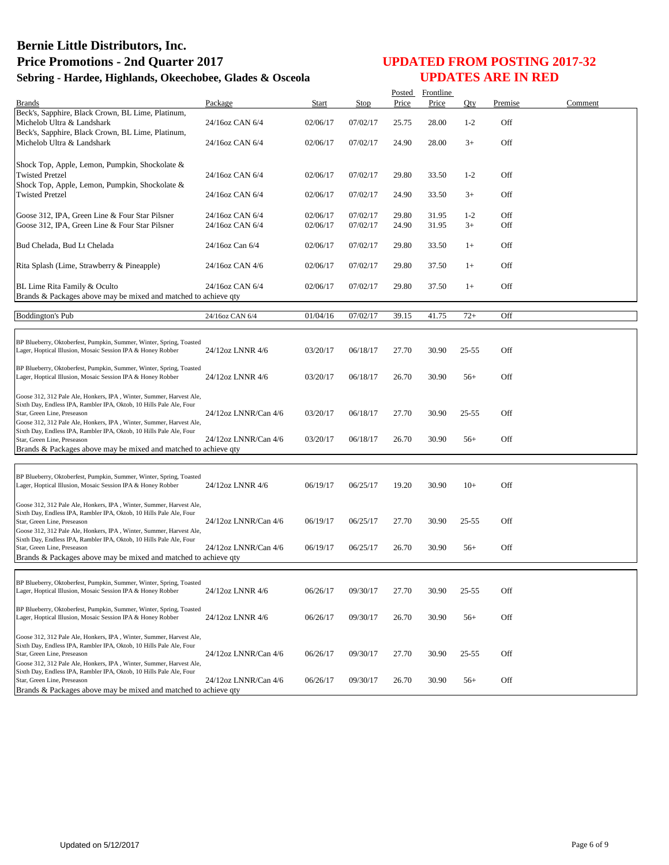|                                                                     |                      |          |          | Posted | Frontline |           |         |         |
|---------------------------------------------------------------------|----------------------|----------|----------|--------|-----------|-----------|---------|---------|
| <b>Brands</b>                                                       | Package              | Start    | Stop     | Price  | Price     | Oty       | Premise | Comment |
| Beck's, Sapphire, Black Crown, BL Lime, Platinum,                   |                      |          |          |        |           |           |         |         |
| Michelob Ultra & Landshark                                          | 24/16oz CAN 6/4      | 02/06/17 | 07/02/17 | 25.75  | 28.00     | $1 - 2$   | Off     |         |
| Beck's, Sapphire, Black Crown, BL Lime, Platinum,                   |                      |          |          |        |           |           |         |         |
| Michelob Ultra & Landshark                                          | 24/16oz CAN 6/4      | 02/06/17 | 07/02/17 | 24.90  | 28.00     | $3+$      | Off     |         |
|                                                                     |                      |          |          |        |           |           |         |         |
|                                                                     |                      |          |          |        |           |           |         |         |
| Shock Top, Apple, Lemon, Pumpkin, Shockolate &                      |                      |          |          |        |           |           |         |         |
| <b>Twisted Pretzel</b>                                              | 24/16oz CAN 6/4      | 02/06/17 | 07/02/17 | 29.80  | 33.50     | $1 - 2$   | Off     |         |
| Shock Top, Apple, Lemon, Pumpkin, Shockolate &                      |                      |          |          |        |           |           |         |         |
| <b>Twisted Pretzel</b>                                              | 24/16oz CAN 6/4      | 02/06/17 | 07/02/17 | 24.90  | 33.50     | $3+$      | Off     |         |
|                                                                     |                      |          |          |        |           |           |         |         |
|                                                                     |                      |          |          |        |           |           |         |         |
| Goose 312, IPA, Green Line & Four Star Pilsner                      | 24/16oz CAN 6/4      | 02/06/17 | 07/02/17 | 29.80  | 31.95     | $1 - 2$   | Off     |         |
| Goose 312, IPA, Green Line & Four Star Pilsner                      | 24/16oz CAN 6/4      | 02/06/17 | 07/02/17 | 24.90  | 31.95     | $3+$      | Off     |         |
|                                                                     |                      |          |          |        |           |           |         |         |
| Bud Chelada, Bud Lt Chelada                                         | 24/16oz Can 6/4      | 02/06/17 | 07/02/17 | 29.80  | 33.50     | $1+$      | Off     |         |
|                                                                     |                      |          |          |        |           |           |         |         |
| Rita Splash (Lime, Strawberry & Pineapple)                          | 24/16oz CAN 4/6      | 02/06/17 | 07/02/17 | 29.80  | 37.50     | $1+$      | Off     |         |
|                                                                     |                      |          |          |        |           |           |         |         |
|                                                                     |                      |          |          |        |           |           |         |         |
| BL Lime Rita Family & Oculto                                        | 24/16oz CAN 6/4      | 02/06/17 | 07/02/17 | 29.80  | 37.50     | $1+$      | Off     |         |
| Brands & Packages above may be mixed and matched to achieve qty     |                      |          |          |        |           |           |         |         |
|                                                                     |                      |          |          |        |           |           |         |         |
| <b>Boddington's Pub</b>                                             | 24/16oz CAN 6/4      | 01/04/16 | 07/02/17 | 39.15  | 41.75     | $72+$     | Off     |         |
|                                                                     |                      |          |          |        |           |           |         |         |
|                                                                     |                      |          |          |        |           |           |         |         |
| BP Blueberry, Oktoberfest, Pumpkin, Summer, Winter, Spring, Toasted |                      |          |          |        |           |           |         |         |
| Lager, Hoptical Illusion, Mosaic Session IPA & Honey Robber         | 24/12oz LNNR 4/6     | 03/20/17 | 06/18/17 | 27.70  | 30.90     | 25-55     | Off     |         |
|                                                                     |                      |          |          |        |           |           |         |         |
| BP Blueberry, Oktoberfest, Pumpkin, Summer, Winter, Spring, Toasted |                      |          |          |        |           |           |         |         |
| Lager, Hoptical Illusion, Mosaic Session IPA & Honey Robber         | 24/12oz LNNR 4/6     | 03/20/17 | 06/18/17 | 26.70  | 30.90     | $56+$     | Off     |         |
|                                                                     |                      |          |          |        |           |           |         |         |
| Goose 312, 312 Pale Ale, Honkers, IPA, Winter, Summer, Harvest Ale, |                      |          |          |        |           |           |         |         |
| Sixth Day, Endless IPA, Rambler IPA, Oktob, 10 Hills Pale Ale, Four |                      |          |          |        |           |           |         |         |
| Star, Green Line, Preseason                                         | 24/12oz LNNR/Can 4/6 | 03/20/17 | 06/18/17 | 27.70  | 30.90     | 25-55     | Off     |         |
| Goose 312, 312 Pale Ale, Honkers, IPA, Winter, Summer, Harvest Ale, |                      |          |          |        |           |           |         |         |
| Sixth Day, Endless IPA, Rambler IPA, Oktob, 10 Hills Pale Ale, Four |                      |          |          |        |           |           |         |         |
| Star, Green Line, Preseason                                         | 24/12oz LNNR/Can 4/6 | 03/20/17 | 06/18/17 | 26.70  | 30.90     | $56+$     | Off     |         |
| Brands & Packages above may be mixed and matched to achieve qty     |                      |          |          |        |           |           |         |         |
|                                                                     |                      |          |          |        |           |           |         |         |
|                                                                     |                      |          |          |        |           |           |         |         |
| BP Blueberry, Oktoberfest, Pumpkin, Summer, Winter, Spring, Toasted |                      |          |          |        |           |           |         |         |
| Lager, Hoptical Illusion, Mosaic Session IPA & Honey Robber         | 24/12oz LNNR 4/6     | 06/19/17 | 06/25/17 | 19.20  | 30.90     | $10+$     | Off     |         |
|                                                                     |                      |          |          |        |           |           |         |         |
| Goose 312, 312 Pale Ale, Honkers, IPA, Winter, Summer, Harvest Ale, |                      |          |          |        |           |           |         |         |
| Sixth Day, Endless IPA, Rambler IPA, Oktob, 10 Hills Pale Ale, Four |                      |          |          |        |           |           |         |         |
| Star, Green Line, Preseason                                         | 24/12oz LNNR/Can 4/6 | 06/19/17 | 06/25/17 | 27.70  | 30.90     | 25-55     | Off     |         |
| Goose 312, 312 Pale Ale, Honkers, IPA, Winter, Summer, Harvest Ale, |                      |          |          |        |           |           |         |         |
| Sixth Day, Endless IPA, Rambler IPA, Oktob, 10 Hills Pale Ale, Four |                      |          |          |        |           |           |         |         |
| Star, Green Line, Preseason                                         | 24/12oz LNNR/Can 4/6 | 06/19/17 | 06/25/17 | 26.70  | 30.90     | $56+$     | Off     |         |
| Brands & Packages above may be mixed and matched to achieve qty     |                      |          |          |        |           |           |         |         |
|                                                                     |                      |          |          |        |           |           |         |         |
|                                                                     |                      |          |          |        |           |           |         |         |
| BP Blueberry, Oktoberfest, Pumpkin, Summer, Winter, Spring, Toasted |                      |          |          |        |           |           |         |         |
| Lager, Hoptical Illusion, Mosaic Session IPA & Honey Robber         | 24/12oz LNNR 4/6     | 06/26/17 | 09/30/17 | 27.70  | 30.90     | $25 - 55$ | Off     |         |
|                                                                     |                      |          |          |        |           |           |         |         |
| BP Blueberry, Oktoberfest, Pumpkin, Summer, Winter, Spring, Toasted |                      |          |          |        |           |           |         |         |
| Lager, Hoptical Illusion, Mosaic Session IPA & Honey Robber         | 24/12oz LNNR 4/6     | 06/26/17 | 09/30/17 | 26.70  | 30.90     | $56+$     | Off     |         |
|                                                                     |                      |          |          |        |           |           |         |         |
| Goose 312, 312 Pale Ale, Honkers, IPA, Winter, Summer, Harvest Ale, |                      |          |          |        |           |           |         |         |
| Sixth Day, Endless IPA, Rambler IPA, Oktob, 10 Hills Pale Ale, Four |                      |          |          |        |           |           |         |         |
| Star, Green Line, Preseason                                         | 24/12oz LNNR/Can 4/6 | 06/26/17 | 09/30/17 | 27.70  | 30.90     | $25 - 55$ | Off     |         |
| Goose 312, 312 Pale Ale, Honkers, IPA, Winter, Summer, Harvest Ale, |                      |          |          |        |           |           |         |         |
| Sixth Day, Endless IPA, Rambler IPA, Oktob, 10 Hills Pale Ale, Four |                      |          |          |        |           |           |         |         |
| Star, Green Line, Preseason                                         | 24/12oz LNNR/Can 4/6 | 06/26/17 | 09/30/17 | 26.70  | 30.90     | $56+$     | Off     |         |
| Brands & Packages above may be mixed and matched to achieve qty     |                      |          |          |        |           |           |         |         |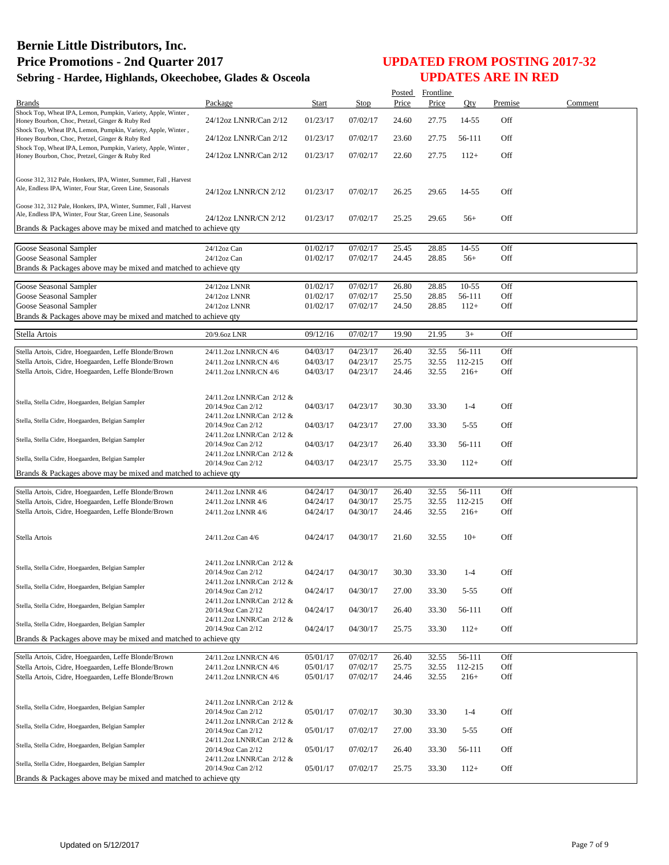|                                                                                                                                |                                                 |                      |                      | Posted         | Frontline      |                  |            |         |
|--------------------------------------------------------------------------------------------------------------------------------|-------------------------------------------------|----------------------|----------------------|----------------|----------------|------------------|------------|---------|
| <b>Brands</b>                                                                                                                  | Package                                         | <b>Start</b>         | Stop                 | Price          | Price          | Qty              | Premise    | Comment |
| Shock Top, Wheat IPA, Lemon, Pumpkin, Variety, Apple, Winter,<br>Honey Bourbon, Choc, Pretzel, Ginger & Ruby Red               | 24/12oz LNNR/Can 2/12                           | 01/23/17             | 07/02/17             | 24.60          | 27.75          | 14-55            | Off        |         |
| Shock Top, Wheat IPA, Lemon, Pumpkin, Variety, Apple, Winter,<br>Honey Bourbon, Choc, Pretzel, Ginger & Ruby Red               | 24/12oz LNNR/Can 2/12                           | 01/23/17             | 07/02/17             | 23.60          | 27.75          | 56-111           | Off        |         |
| Shock Top, Wheat IPA, Lemon, Pumpkin, Variety, Apple, Winter,<br>Honey Bourbon, Choc, Pretzel, Ginger & Ruby Red               | 24/12oz LNNR/Can 2/12                           | 01/23/17             | 07/02/17             | 22.60          | 27.75          | $112+$           | Off        |         |
|                                                                                                                                |                                                 |                      |                      |                |                |                  |            |         |
| Goose 312, 312 Pale, Honkers, IPA, Winter, Summer, Fall, Harvest                                                               |                                                 |                      |                      |                |                |                  |            |         |
| Ale, Endless IPA, Winter, Four Star, Green Line, Seasonals                                                                     | 24/12oz LNNR/CN 2/12                            | 01/23/17             | 07/02/17             | 26.25          | 29.65          | 14-55            | Off        |         |
| Goose 312, 312 Pale, Honkers, IPA, Winter, Summer, Fall, Harvest<br>Ale, Endless IPA, Winter, Four Star, Green Line, Seasonals | 24/12oz LNNR/CN 2/12                            |                      | 07/02/17             |                |                |                  | Off        |         |
| Brands & Packages above may be mixed and matched to achieve qty                                                                |                                                 | 01/23/17             |                      | 25.25          | 29.65          | $56+$            |            |         |
|                                                                                                                                |                                                 |                      | 07/02/17             |                |                |                  | Off        |         |
| Goose Seasonal Sampler<br>Goose Seasonal Sampler                                                                               | 24/12oz Can<br>24/12oz Can                      | 01/02/17<br>01/02/17 | 07/02/17             | 25.45<br>24.45 | 28.85<br>28.85 | 14-55<br>$56+$   | Off        |         |
| Brands & Packages above may be mixed and matched to achieve qty                                                                |                                                 |                      |                      |                |                |                  |            |         |
|                                                                                                                                |                                                 |                      |                      |                |                |                  |            |         |
| Goose Seasonal Sampler                                                                                                         | 24/12oz LNNR                                    | 01/02/17             | 07/02/17             | 26.80          | 28.85          | $10 - 55$        | Off        |         |
| Goose Seasonal Sampler<br>Goose Seasonal Sampler                                                                               | 24/12oz LNNR<br>24/12oz LNNR                    | 01/02/17<br>01/02/17 | 07/02/17<br>07/02/17 | 25.50<br>24.50 | 28.85<br>28.85 | 56-111<br>$112+$ | Off<br>Off |         |
| Brands & Packages above may be mixed and matched to achieve gty                                                                |                                                 |                      |                      |                |                |                  |            |         |
|                                                                                                                                |                                                 |                      |                      |                |                |                  |            |         |
| Stella Artois                                                                                                                  | 20/9.6oz LNR                                    | 09/12/16             | 07/02/17             | 19.90          | 21.95          | $3+$             | Off        |         |
| Stella Artois, Cidre, Hoegaarden, Leffe Blonde/Brown                                                                           | 24/11.2oz LNNR/CN 4/6                           | 04/03/17             | 04/23/17             | 26.40          | 32.55          | 56-111           | Off        |         |
| Stella Artois, Cidre, Hoegaarden, Leffe Blonde/Brown                                                                           | 24/11.2oz LNNR/CN 4/6                           | 04/03/17             | 04/23/17             | 25.75          | 32.55          | 112-215          | Off        |         |
| Stella Artois, Cidre, Hoegaarden, Leffe Blonde/Brown                                                                           | 24/11.2oz LNNR/CN 4/6                           | 04/03/17             | 04/23/17             | 24.46          | 32.55          | $216+$           | Off        |         |
|                                                                                                                                |                                                 |                      |                      |                |                |                  |            |         |
|                                                                                                                                | 24/11.2oz LNNR/Can 2/12 &                       |                      |                      |                |                |                  |            |         |
| Stella, Stella Cidre, Hoegaarden, Belgian Sampler                                                                              | 20/14.9oz Can 2/12                              | 04/03/17             | 04/23/17             | 30.30          | 33.30          | $1 - 4$          | Off        |         |
| Stella, Stella Cidre, Hoegaarden, Belgian Sampler                                                                              | 24/11.2oz LNNR/Can 2/12 &                       |                      |                      |                |                |                  |            |         |
|                                                                                                                                | 20/14.9oz Can 2/12<br>24/11.2oz LNNR/Can 2/12 & | 04/03/17             | 04/23/17             | 27.00          | 33.30          | $5 - 55$         | Off        |         |
| Stella, Stella Cidre, Hoegaarden, Belgian Sampler                                                                              | 20/14.9oz Can 2/12                              | 04/03/17             | 04/23/17             | 26.40          | 33.30          | 56-111           | Off        |         |
|                                                                                                                                | 24/11.2oz LNNR/Can 2/12 &                       |                      |                      |                |                |                  |            |         |
| Stella, Stella Cidre, Hoegaarden, Belgian Sampler                                                                              | 20/14.9oz Can 2/12                              | 04/03/17             | 04/23/17             | 25.75          | 33.30          | $112+$           | Off        |         |
| Brands & Packages above may be mixed and matched to achieve qty                                                                |                                                 |                      |                      |                |                |                  |            |         |
|                                                                                                                                |                                                 | 04/24/17             | 04/30/17             | 26.40          | 32.55          | 56-111           | Off        |         |
| Stella Artois, Cidre, Hoegaarden, Leffe Blonde/Brown<br>Stella Artois, Cidre, Hoegaarden, Leffe Blonde/Brown                   | 24/11.2oz LNNR 4/6<br>24/11.2oz LNNR 4/6        | 04/24/17             | 04/30/17             | 25.75          | 32.55          | 112-215          | Off        |         |
| Stella Artois, Cidre, Hoegaarden, Leffe Blonde/Brown                                                                           | 24/11.2oz LNNR 4/6                              | 04/24/17             | 04/30/17             | 24.46          | 32.55          | $216+$           | Off        |         |
|                                                                                                                                |                                                 |                      |                      |                |                |                  |            |         |
|                                                                                                                                |                                                 | 04/24/17             |                      |                |                |                  |            |         |
| Stella Artois                                                                                                                  | 24/11.2oz Can 4/6                               |                      | 04/30/17             | 21.60          | 32.55          | $10+$            | Off        |         |
|                                                                                                                                |                                                 |                      |                      |                |                |                  |            |         |
| Stella, Stella Cidre, Hoegaarden, Belgian Sampler                                                                              | 24/11.2oz LNNR/Can 2/12 &                       |                      |                      |                |                |                  |            |         |
|                                                                                                                                | 20/14.9oz Can 2/12<br>24/11.2oz LNNR/Can 2/12 & | 04/24/17             | 04/30/17             | 30.30          | 33.30          | $1 - 4$          | Off        |         |
| Stella, Stella Cidre, Hoegaarden, Belgian Sampler                                                                              | 20/14.9oz Can 2/12                              | 04/24/17             | 04/30/17             | 27.00          | 33.30          | $5 - 55$         | Off        |         |
|                                                                                                                                | 24/11.2oz LNNR/Can 2/12 &                       |                      |                      |                |                |                  |            |         |
| Stella, Stella Cidre, Hoegaarden, Belgian Sampler                                                                              | 20/14.9oz Can 2/12                              | 04/24/17             | 04/30/17             | 26.40          | 33.30          | 56-111           | Off        |         |
| Stella, Stella Cidre, Hoegaarden, Belgian Sampler                                                                              | 24/11.2oz LNNR/Can 2/12 &                       |                      |                      |                |                |                  |            |         |
|                                                                                                                                | 20/14.9oz Can 2/12                              | 04/24/17             | 04/30/17             | 25.75          | 33.30          | $112+$           | Off        |         |
| Brands & Packages above may be mixed and matched to achieve qty                                                                |                                                 |                      |                      |                |                |                  |            |         |
| Stella Artois, Cidre, Hoegaarden, Leffe Blonde/Brown                                                                           | 24/11.2oz LNNR/CN 4/6                           | 05/01/17             | 07/02/17             | 26.40          | 32.55          | 56-111           | Off        |         |
| Stella Artois, Cidre, Hoegaarden, Leffe Blonde/Brown                                                                           | 24/11.2oz LNNR/CN 4/6                           | 05/01/17             | 07/02/17             | 25.75          | 32.55          | 112-215          | Off        |         |
| Stella Artois, Cidre, Hoegaarden, Leffe Blonde/Brown                                                                           | 24/11.2oz LNNR/CN 4/6                           | 05/01/17             | 07/02/17             | 24.46          | 32.55          | $216+$           | Off        |         |
|                                                                                                                                |                                                 |                      |                      |                |                |                  |            |         |
|                                                                                                                                | 24/11.2oz LNNR/Can 2/12 &                       |                      |                      |                |                |                  |            |         |
| Stella, Stella Cidre, Hoegaarden, Belgian Sampler                                                                              | 20/14.9oz Can 2/12                              | 05/01/17             | 07/02/17             | 30.30          | 33.30          | $1 - 4$          | Off        |         |
| Stella, Stella Cidre, Hoegaarden, Belgian Sampler                                                                              | 24/11.2oz LNNR/Can 2/12 &                       |                      |                      |                |                |                  |            |         |
|                                                                                                                                | 20/14.9oz Can 2/12                              | 05/01/17             | 07/02/17             | 27.00          | 33.30          | $5 - 55$         | Off        |         |
| Stella, Stella Cidre, Hoegaarden, Belgian Sampler                                                                              | 24/11.2oz LNNR/Can 2/12 &<br>20/14.9oz Can 2/12 | 05/01/17             | 07/02/17             | 26.40          | 33.30          | 56-111           | Off        |         |
|                                                                                                                                | 24/11.2oz LNNR/Can 2/12 &                       |                      |                      |                |                |                  |            |         |
| Stella, Stella Cidre, Hoegaarden, Belgian Sampler                                                                              | 20/14.9oz Can 2/12                              | 05/01/17             | 07/02/17             | 25.75          | 33.30          | $112+$           | Off        |         |
| Brands & Packages above may be mixed and matched to achieve qty                                                                |                                                 |                      |                      |                |                |                  |            |         |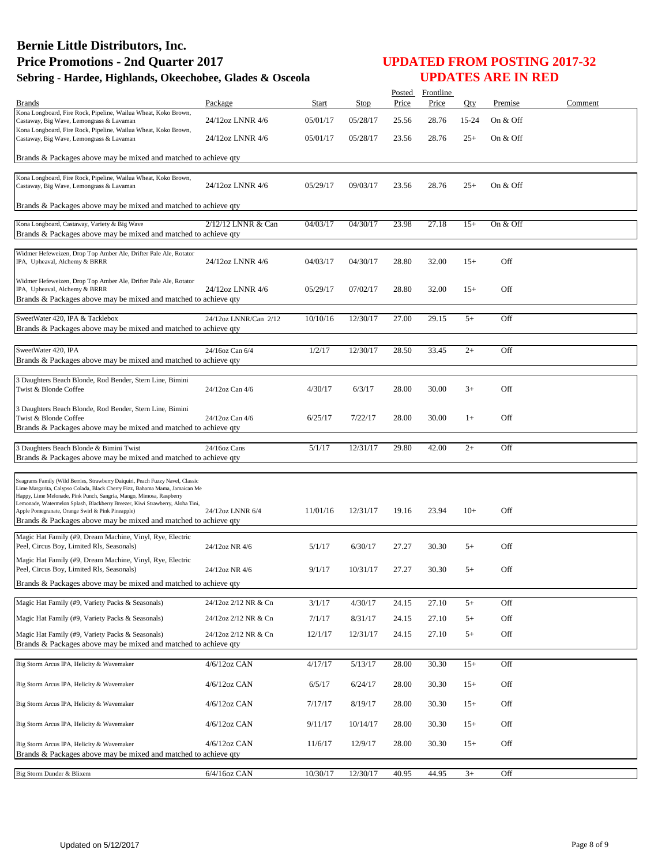|                                                                                                                                                               |                       |              |          |       | Posted Frontline |       |          |         |
|---------------------------------------------------------------------------------------------------------------------------------------------------------------|-----------------------|--------------|----------|-------|------------------|-------|----------|---------|
| <b>Brands</b><br>Kona Longboard, Fire Rock, Pipeline, Wailua Wheat, Koko Brown,                                                                               | Package               | <b>Start</b> | Stop     | Price | Price            | Oty   | Premise  | Comment |
| Castaway, Big Wave, Lemongrass & Lavaman                                                                                                                      | 24/12oz LNNR 4/6      | 05/01/17     | 05/28/17 | 25.56 | 28.76            | 15-24 | On & Off |         |
| Kona Longboard, Fire Rock, Pipeline, Wailua Wheat, Koko Brown,<br>Castaway, Big Wave, Lemongrass & Lavaman                                                    | 24/12oz LNNR 4/6      | 05/01/17     | 05/28/17 | 23.56 | 28.76            | $25+$ | On & Off |         |
|                                                                                                                                                               |                       |              |          |       |                  |       |          |         |
| Brands & Packages above may be mixed and matched to achieve qty                                                                                               |                       |              |          |       |                  |       |          |         |
| Kona Longboard, Fire Rock, Pipeline, Wailua Wheat, Koko Brown,                                                                                                |                       |              |          |       |                  |       |          |         |
| Castaway, Big Wave, Lemongrass & Lavaman                                                                                                                      | 24/12oz LNNR 4/6      | 05/29/17     | 09/03/17 | 23.56 | 28.76            | $25+$ | On & Off |         |
| Brands & Packages above may be mixed and matched to achieve qty                                                                                               |                       |              |          |       |                  |       |          |         |
|                                                                                                                                                               |                       |              |          |       |                  |       |          |         |
| Kona Longboard, Castaway, Variety & Big Wave                                                                                                                  | 2/12/12 LNNR & Can    | 04/03/17     | 04/30/17 | 23.98 | 27.18            | $15+$ | On & Off |         |
| Brands & Packages above may be mixed and matched to achieve qty                                                                                               |                       |              |          |       |                  |       |          |         |
| Widmer Hefeweizen, Drop Top Amber Ale, Drifter Pale Ale, Rotator                                                                                              |                       |              |          |       |                  |       |          |         |
| IPA, Upheaval, Alchemy & BRRR                                                                                                                                 | 24/12oz LNNR 4/6      | 04/03/17     | 04/30/17 | 28.80 | 32.00            | $15+$ | Off      |         |
| Widmer Hefeweizen, Drop Top Amber Ale, Drifter Pale Ale, Rotator                                                                                              |                       |              |          |       |                  |       |          |         |
| IPA, Upheaval, Alchemy & BRRR<br>Brands & Packages above may be mixed and matched to achieve qty                                                              | 24/12oz LNNR 4/6      | 05/29/17     | 07/02/17 | 28.80 | 32.00            | $15+$ | Off      |         |
|                                                                                                                                                               |                       |              |          |       |                  |       |          |         |
| SweetWater 420, IPA & Tacklebox                                                                                                                               | 24/12oz LNNR/Can 2/12 | 10/10/16     | 12/30/17 | 27.00 | 29.15            | $5+$  | Off      |         |
| Brands & Packages above may be mixed and matched to achieve qty                                                                                               |                       |              |          |       |                  |       |          |         |
| SweetWater 420, IPA                                                                                                                                           | 24/16oz Can 6/4       | 1/2/17       | 12/30/17 | 28.50 | 33.45            | $2+$  | Off      |         |
| Brands & Packages above may be mixed and matched to achieve qty                                                                                               |                       |              |          |       |                  |       |          |         |
| 3 Daughters Beach Blonde, Rod Bender, Stern Line, Bimini                                                                                                      |                       |              |          |       |                  |       |          |         |
| Twist & Blonde Coffee                                                                                                                                         | 24/12oz Can 4/6       | 4/30/17      | 6/3/17   | 28.00 | 30.00            | $3+$  | Off      |         |
|                                                                                                                                                               |                       |              |          |       |                  |       |          |         |
| 3 Daughters Beach Blonde, Rod Bender, Stern Line, Bimini<br>Twist & Blonde Coffee                                                                             | 24/12oz Can 4/6       | 6/25/17      | 7/22/17  | 28.00 | 30.00            | $1+$  | Off      |         |
| Brands & Packages above may be mixed and matched to achieve qty                                                                                               |                       |              |          |       |                  |       |          |         |
|                                                                                                                                                               | 24/16oz Cans          | 5/1/17       | 12/31/17 | 29.80 | 42.00            | $2+$  | Off      |         |
| 3 Daughters Beach Blonde & Bimini Twist<br>Brands & Packages above may be mixed and matched to achieve qty                                                    |                       |              |          |       |                  |       |          |         |
|                                                                                                                                                               |                       |              |          |       |                  |       |          |         |
| Seagrams Family (Wild Berries, Strawberry Daiquiri, Peach Fuzzy Navel, Classic<br>Lime Margarita, Calypso Colada, Black Cherry Fizz, Bahama Mama, Jamaican Me |                       |              |          |       |                  |       |          |         |
| Happy, Lime Melonade, Pink Punch, Sangria, Mango, Mimosa, Raspberry                                                                                           |                       |              |          |       |                  |       |          |         |
| Lemonade, Watermelon Splash, Blackberry Breezer, Kiwi Strawberry, Aloha Tini,<br>Apple Pomegranate, Orange Swirl & Pink Pineapple)                            | 24/12oz LNNR 6/4      | 11/01/16     | 12/31/17 | 19.16 | 23.94            | $10+$ | Off      |         |
| Brands & Packages above may be mixed and matched to achieve qty                                                                                               |                       |              |          |       |                  |       |          |         |
| Magic Hat Family (#9, Dream Machine, Vinyl, Rye, Electric                                                                                                     |                       |              |          |       |                  |       |          |         |
| Peel, Circus Boy, Limited Rls, Seasonals)                                                                                                                     | 24/12oz NR 4/6        | 5/1/17       | 6/30/17  | 27.27 | 30.30            | $5+$  | Off      |         |
| Magic Hat Family (#9, Dream Machine, Vinyl, Rye, Electric                                                                                                     |                       |              |          |       |                  |       |          |         |
| Peel, Circus Boy, Limited Rls, Seasonals)                                                                                                                     | 24/12oz NR 4/6        | 9/1/17       | 10/31/17 | 27.27 | 30.30            | $5+$  | Off      |         |
| Brands & Packages above may be mixed and matched to achieve qty                                                                                               |                       |              |          |       |                  |       |          |         |
| Magic Hat Family (#9, Variety Packs & Seasonals)                                                                                                              | 24/12oz 2/12 NR & Cn  | 3/1/17       | 4/30/17  | 24.15 | 27.10            | $5+$  | Off      |         |
| Magic Hat Family (#9, Variety Packs & Seasonals)                                                                                                              | 24/12oz 2/12 NR & Cn  | 7/1/17       | 8/31/17  | 24.15 | 27.10            | $5+$  | Off      |         |
| Magic Hat Family (#9, Variety Packs & Seasonals)                                                                                                              | 24/12oz 2/12 NR & Cn  | 12/1/17      | 12/31/17 | 24.15 | 27.10            | $5+$  | Off      |         |
| Brands & Packages above may be mixed and matched to achieve gty                                                                                               |                       |              |          |       |                  |       |          |         |
|                                                                                                                                                               | 4/6/12oz CAN          |              |          |       |                  | $15+$ |          |         |
| Big Storm Arcus IPA, Helicity & Wavemaker                                                                                                                     |                       | 4/17/17      | 5/13/17  | 28.00 | 30.30            |       | Off      |         |
| Big Storm Arcus IPA, Helicity & Wavemaker                                                                                                                     | 4/6/12oz CAN          | 6/5/17       | 6/24/17  | 28.00 | 30.30            | $15+$ | Off      |         |
|                                                                                                                                                               |                       |              |          |       |                  |       |          |         |
| Big Storm Arcus IPA, Helicity & Wavemaker                                                                                                                     | 4/6/12oz CAN          | 7/17/17      | 8/19/17  | 28.00 | 30.30            | $15+$ | Off      |         |
| Big Storm Arcus IPA, Helicity & Wavemaker                                                                                                                     | 4/6/12oz CAN          | 9/11/17      | 10/14/17 | 28.00 | 30.30            | $15+$ | Off      |         |
|                                                                                                                                                               |                       |              |          |       |                  |       | Off      |         |
| Big Storm Arcus IPA, Helicity & Wavemaker<br>Brands & Packages above may be mixed and matched to achieve qty                                                  | 4/6/12oz CAN          | 11/6/17      | 12/9/17  | 28.00 | 30.30            | $15+$ |          |         |
|                                                                                                                                                               |                       |              |          |       |                  |       |          |         |
| Big Storm Dunder & Blixem                                                                                                                                     | 6/4/16oz CAN          | 10/30/17     | 12/30/17 | 40.95 | 44.95            | $3+$  | Off      |         |